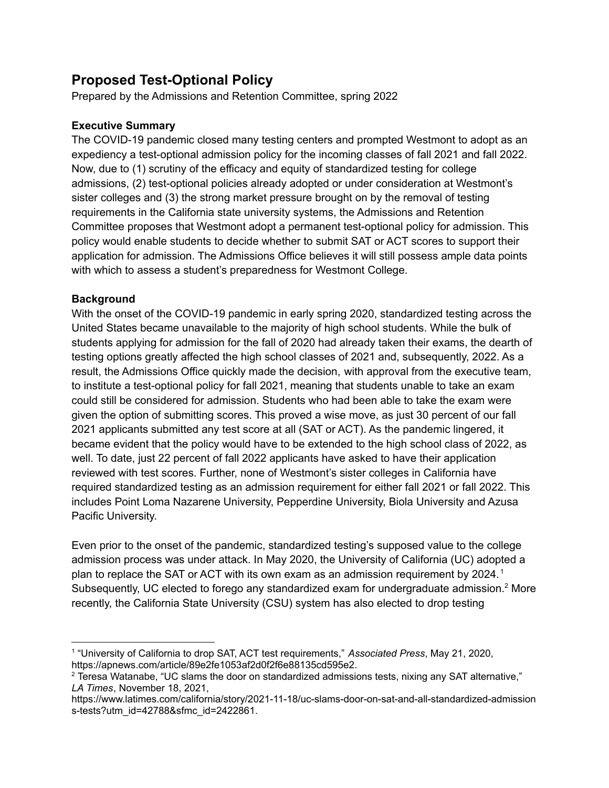# **Proposed Test-Optional Policy**

Prepared by the Admissions and Retention Committee, spring 2022

### **Executive Summary**

The COVID-19 pandemic closed many testing centers and prompted Westmont to adopt as an expediency a test-optional admission policy for the incoming classes of fall 2021 and fall 2022. Now, due to (1) scrutiny of the efficacy and equity of standardized testing for college admissions, (2) test-optional policies already adopted or under consideration at Westmont's sister colleges and (3) the strong market pressure brought on by the removal of testing requirements in the California state university systems, the Admissions and Retention Committee proposes that Westmont adopt a permanent test-optional policy for admission. This policy would enable students to decide whether to submit SAT or ACT scores to support their application for admission. The Admissions Office believes it will still possess ample data points with which to assess a student's preparedness for Westmont College.

#### **Background**

With the onset of the COVID-19 pandemic in early spring 2020, standardized testing across the United States became unavailable to the majority of high school students. While the bulk of students applying for admission for the fall of 2020 had already taken their exams, the dearth of testing options greatly affected the high school classes of 2021 and, subsequently, 2022. As a result, the Admissions Office quickly made the decision, with approval from the executive team, to institute a test-optional policy for fall 2021, meaning that students unable to take an exam could still be considered for admission. Students who had been able to take the exam were given the option of submitting scores. This proved a wise move, as just 30 percent of our fall 2021 applicants submitted any test score at all (SAT or ACT). As the pandemic lingered, it became evident that the policy would have to be extended to the high school class of 2022, as well. To date, just 22 percent of fall 2022 applicants have asked to have their application reviewed with test scores. Further, none of Westmont's sister colleges in California have required standardized testing as an admission requirement for either fall 2021 or fall 2022. This includes Point Loma Nazarene University, Pepperdine University, Biola University and Azusa Pacific University.

Even prior to the onset of the pandemic, standardized testing's supposed value to the college admission process was under attack. In May 2020, the University of California (UC) adopted a plan to replace the SAT or ACT with its own exam as an admission requirement by 2024.<sup>1</sup> Subsequently, UC elected to forego any standardized exam for undergraduate admission.<sup>2</sup> More recently, the California State University (CSU) system has also elected to drop testing

<sup>1</sup> "University of California to drop SAT, ACT test requirements," *Associated Press*, May 21, 2020, https://apnews.com/article/89e2fe1053af2d0f2f6e88135cd595e2.

<sup>&</sup>lt;sup>2</sup> Teresa Watanabe, "UC slams the door on standardized admissions tests, nixing any SAT alternative," *LA Times*, November 18, 2021,

https://www.latimes.com/california/story/2021-11-18/uc-slams-door-on-sat-and-all-standardized-admission s-tests?utm\_id=42788&sfmc\_id=2422861.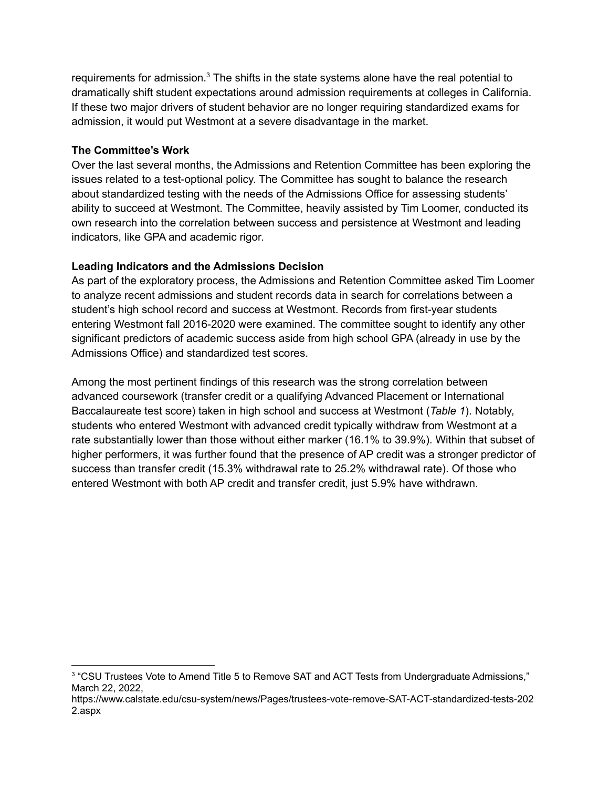requirements for admission.<sup>3</sup> The shifts in the state systems alone have the real potential to dramatically shift student expectations around admission requirements at colleges in California. If these two major drivers of student behavior are no longer requiring standardized exams for admission, it would put Westmont at a severe disadvantage in the market.

#### **The Committee's Work**

Over the last several months, the Admissions and Retention Committee has been exploring the issues related to a test-optional policy. The Committee has sought to balance the research about standardized testing with the needs of the Admissions Office for assessing students' ability to succeed at Westmont. The Committee, heavily assisted by Tim Loomer, conducted its own research into the correlation between success and persistence at Westmont and leading indicators, like GPA and academic rigor.

#### **Leading Indicators and the Admissions Decision**

As part of the exploratory process, the Admissions and Retention Committee asked Tim Loomer to analyze recent admissions and student records data in search for correlations between a student's high school record and success at Westmont. Records from first-year students entering Westmont fall 2016-2020 were examined. The committee sought to identify any other significant predictors of academic success aside from high school GPA (already in use by the Admissions Office) and standardized test scores.

Among the most pertinent findings of this research was the strong correlation between advanced coursework (transfer credit or a qualifying Advanced Placement or International Baccalaureate test score) taken in high school and success at Westmont (*Table 1*). Notably, students who entered Westmont with advanced credit typically withdraw from Westmont at a rate substantially lower than those without either marker (16.1% to 39.9%). Within that subset of higher performers, it was further found that the presence of AP credit was a stronger predictor of success than transfer credit (15.3% withdrawal rate to 25.2% withdrawal rate). Of those who entered Westmont with both AP credit and transfer credit, just 5.9% have withdrawn.

<sup>3</sup> "CSU Trustees Vote to Amend Title 5 to Remove SAT and ACT Tests from Undergraduate Admissions," March 22, 2022,

https://www.calstate.edu/csu-system/news/Pages/trustees-vote-remove-SAT-ACT-standardized-tests-202 2.aspx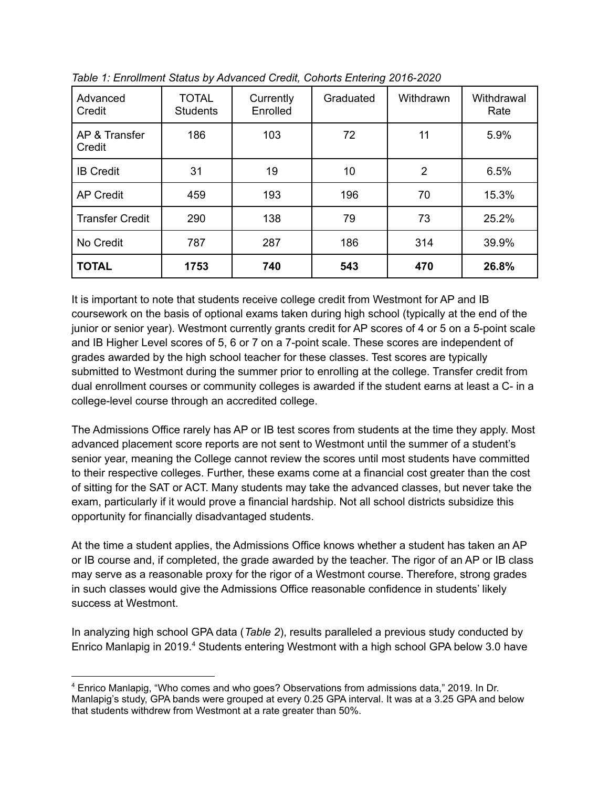| Advanced<br>Credit      | <b>TOTAL</b><br><b>Students</b> | Currently<br>Enrolled | Graduated | Withdrawn      | Withdrawal<br>Rate |
|-------------------------|---------------------------------|-----------------------|-----------|----------------|--------------------|
| AP & Transfer<br>Credit | 186                             | 103                   | 72        | 11             | 5.9%               |
| <b>IB Credit</b>        | 31                              | 19                    | 10        | $\overline{2}$ | 6.5%               |
| <b>AP Credit</b>        | 459                             | 193                   | 196       | 70             | 15.3%              |
| <b>Transfer Credit</b>  | 290                             | 138                   | 79        | 73             | 25.2%              |
| No Credit               | 787                             | 287                   | 186       | 314            | 39.9%              |
| <b>TOTAL</b>            | 1753                            | 740                   | 543       | 470            | 26.8%              |

*Table 1: Enrollment Status by Advanced Credit, Cohorts Entering 2016-2020*

It is important to note that students receive college credit from Westmont for AP and IB coursework on the basis of optional exams taken during high school (typically at the end of the junior or senior year). Westmont currently grants credit for AP scores of 4 or 5 on a 5-point scale and IB Higher Level scores of 5, 6 or 7 on a 7-point scale. These scores are independent of grades awarded by the high school teacher for these classes. Test scores are typically submitted to Westmont during the summer prior to enrolling at the college. Transfer credit from dual enrollment courses or community colleges is awarded if the student earns at least a C- in a college-level course through an accredited college.

The Admissions Office rarely has AP or IB test scores from students at the time they apply. Most advanced placement score reports are not sent to Westmont until the summer of a student's senior year, meaning the College cannot review the scores until most students have committed to their respective colleges. Further, these exams come at a financial cost greater than the cost of sitting for the SAT or ACT. Many students may take the advanced classes, but never take the exam, particularly if it would prove a financial hardship. Not all school districts subsidize this opportunity for financially disadvantaged students.

At the time a student applies, the Admissions Office knows whether a student has taken an AP or IB course and, if completed, the grade awarded by the teacher. The rigor of an AP or IB class may serve as a reasonable proxy for the rigor of a Westmont course. Therefore, strong grades in such classes would give the Admissions Office reasonable confidence in students' likely success at Westmont.

In analyzing high school GPA data (*Table 2*), results paralleled a previous study conducted by Enrico Manlapig in 2019.<sup>4</sup> Students entering Westmont with a high school GPA below 3.0 have

<sup>4</sup> Enrico Manlapig, "Who comes and who goes? Observations from admissions data," 2019. In Dr. Manlapig's study, GPA bands were grouped at every 0.25 GPA interval. It was at a 3.25 GPA and below that students withdrew from Westmont at a rate greater than 50%.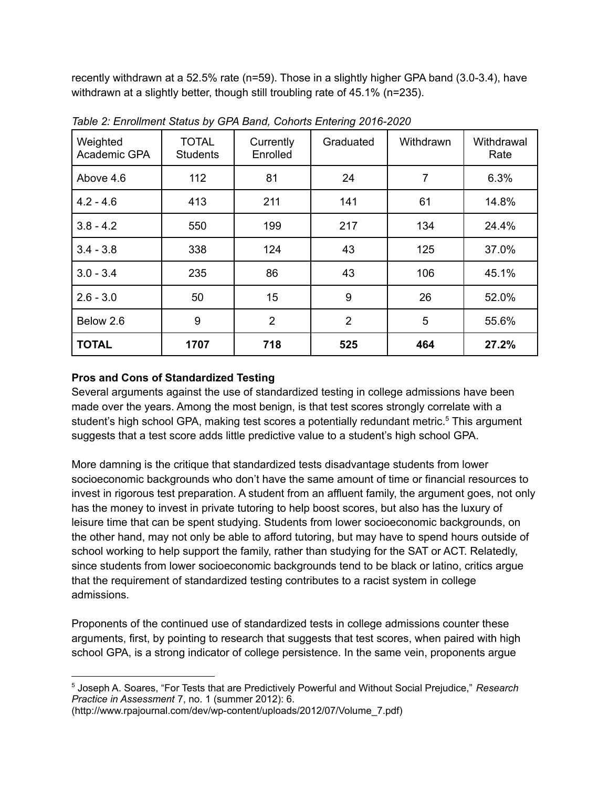recently withdrawn at a 52.5% rate (n=59). Those in a slightly higher GPA band (3.0-3.4), have withdrawn at a slightly better, though still troubling rate of 45.1% (n=235).

| Weighted<br>Academic GPA | <b>TOTAL</b><br><b>Students</b> | Currently<br>Enrolled | Graduated      | Withdrawn | Withdrawal<br>Rate |
|--------------------------|---------------------------------|-----------------------|----------------|-----------|--------------------|
| Above 4.6                | 112                             | 81                    | 24             | 7         | 6.3%               |
| $4.2 - 4.6$              | 413                             | 211                   | 141            | 61        | 14.8%              |
| $3.8 - 4.2$              | 550                             | 199                   | 217            | 134       | 24.4%              |
| $3.4 - 3.8$              | 338                             | 124                   | 43             | 125       | 37.0%              |
| $3.0 - 3.4$              | 235                             | 86                    | 43             | 106       | 45.1%              |
| $2.6 - 3.0$              | 50                              | 15                    | 9              | 26        | 52.0%              |
| Below 2.6                | 9                               | $\overline{2}$        | $\overline{2}$ | 5         | 55.6%              |
| <b>TOTAL</b>             | 1707                            | 718                   | 525            | 464       | 27.2%              |

*Table 2: Enrollment Status by GPA Band, Cohorts Entering 2016-2020*

## **Pros and Cons of Standardized Testing**

Several arguments against the use of standardized testing in college admissions have been made over the years. Among the most benign, is that test scores strongly correlate with a student's high school GPA, making test scores a potentially redundant metric.<sup>5</sup> This argument suggests that a test score adds little predictive value to a student's high school GPA.

More damning is the critique that standardized tests disadvantage students from lower socioeconomic backgrounds who don't have the same amount of time or financial resources to invest in rigorous test preparation. A student from an affluent family, the argument goes, not only has the money to invest in private tutoring to help boost scores, but also has the luxury of leisure time that can be spent studying. Students from lower socioeconomic backgrounds, on the other hand, may not only be able to afford tutoring, but may have to spend hours outside of school working to help support the family, rather than studying for the SAT or ACT. Relatedly, since students from lower socioeconomic backgrounds tend to be black or latino, critics argue that the requirement of standardized testing contributes to a racist system in college admissions.

Proponents of the continued use of standardized tests in college admissions counter these arguments, first, by pointing to research that suggests that test scores, when paired with high school GPA, is a strong indicator of college persistence. In the same vein, proponents argue

(http://www.rpajournal.com/dev/wp-content/uploads/2012/07/Volume\_7.pdf)

<sup>5</sup> Joseph A. Soares, "For Tests that are Predictively Powerful and Without Social Prejudice," *Research Practice in Assessment* 7, no. 1 (summer 2012): 6.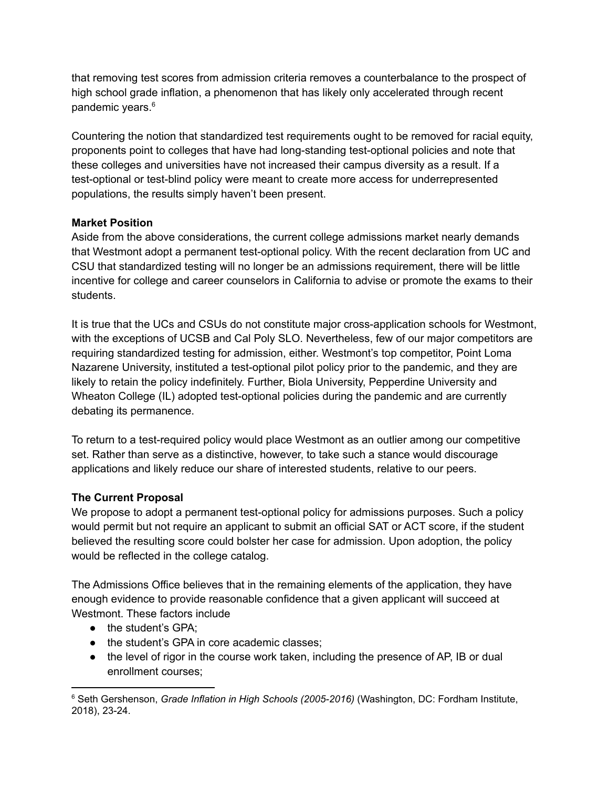that removing test scores from admission criteria removes a counterbalance to the prospect of high school grade inflation, a phenomenon that has likely only accelerated through recent pandemic years. 6

Countering the notion that standardized test requirements ought to be removed for racial equity, proponents point to colleges that have had long-standing test-optional policies and note that these colleges and universities have not increased their campus diversity as a result. If a test-optional or test-blind policy were meant to create more access for underrepresented populations, the results simply haven't been present.

#### **Market Position**

Aside from the above considerations, the current college admissions market nearly demands that Westmont adopt a permanent test-optional policy. With the recent declaration from UC and CSU that standardized testing will no longer be an admissions requirement, there will be little incentive for college and career counselors in California to advise or promote the exams to their students.

It is true that the UCs and CSUs do not constitute major cross-application schools for Westmont, with the exceptions of UCSB and Cal Poly SLO. Nevertheless, few of our major competitors are requiring standardized testing for admission, either. Westmont's top competitor, Point Loma Nazarene University, instituted a test-optional pilot policy prior to the pandemic, and they are likely to retain the policy indefinitely. Further, Biola University, Pepperdine University and Wheaton College (IL) adopted test-optional policies during the pandemic and are currently debating its permanence.

To return to a test-required policy would place Westmont as an outlier among our competitive set. Rather than serve as a distinctive, however, to take such a stance would discourage applications and likely reduce our share of interested students, relative to our peers.

## **The Current Proposal**

We propose to adopt a permanent test-optional policy for admissions purposes. Such a policy would permit but not require an applicant to submit an official SAT or ACT score, if the student believed the resulting score could bolster her case for admission. Upon adoption, the policy would be reflected in the college catalog.

The Admissions Office believes that in the remaining elements of the application, they have enough evidence to provide reasonable confidence that a given applicant will succeed at Westmont. These factors include

- the student's GPA:
- the student's GPA in core academic classes;
- the level of rigor in the course work taken, including the presence of AP, IB or dual enrollment courses;

<sup>6</sup> Seth Gershenson, *Grade Inflation in High Schools (2005-2016)* (Washington, DC: Fordham Institute, 2018), 23-24.